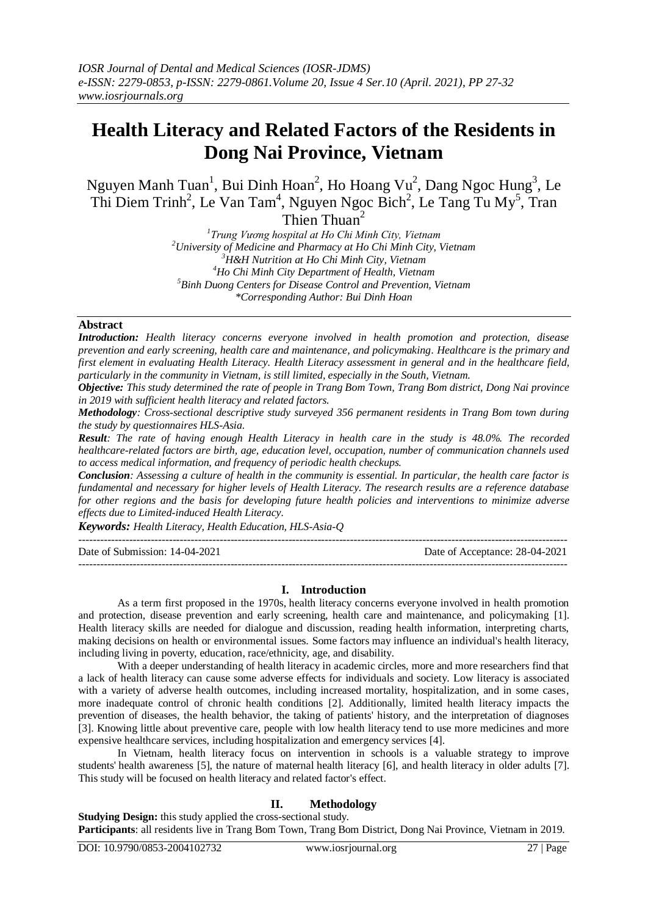# **Health Literacy and Related Factors of the Residents in Dong Nai Province, Vietnam**

Nguyen Manh Tuan<sup>1</sup>, Bui Dinh Hoan<sup>2</sup>, Ho Hoang Vu<sup>2</sup>, Dang Ngoc Hung<sup>3</sup>, Le Thi Diem Trinh<sup>2</sup>, Le Van Tam<sup>4</sup>, Nguyen Ngoc Bich<sup>2</sup>, Le Tang Tu My<sup>5</sup>, Tran

Thien Thuan<sup>2</sup>

 *Trung Vương hospital at Ho Chi Minh City, Vietnam University of Medicine and Pharmacy at Ho Chi Minh City, Vietnam H&H Nutrition at Ho Chi Minh City, Vietnam Ho Chi Minh City Department of Health, Vietnam Binh Duong Centers for Disease Control and Prevention, Vietnam \*Corresponding Author: Bui Dinh Hoan*

### **Abstract**

*Introduction: Health literacy concerns everyone involved in health promotion and protection, disease prevention and early screening, health care and maintenance, and policymaking. Healthcare is the primary and first element in evaluating Health Literacy. Health Literacy assessment in general and in the healthcare field, particularly in the community in Vietnam, is still limited, especially in the South, Vietnam.*

*Objective: This study determined the rate of people in Trang Bom Town, Trang Bom district, Dong Nai province in 2019 with sufficient health literacy and related factors.*

*Methodology: Cross-sectional descriptive study surveyed 356 permanent residents in Trang Bom town during the study by questionnaires HLS-Asia.*

*Result: The rate of having enough Health Literacy in health care in the study is 48.0%. The recorded healthcare-related factors are birth, age, education level, occupation, number of communication channels used to access medical information, and frequency of periodic health checkups.*

*Conclusion: Assessing a culture of health in the community is essential. In particular, the health care factor is fundamental and necessary for higher levels of Health Literacy. The research results are a reference database for other regions and the basis for developing future health policies and interventions to minimize adverse effects due to Limited-induced Health Literacy.* 

*Keywords: Health Literacy, Health Education, HLS-Asia-Q*

--------------------------------------------------------------------------------------------------------------------------------------- Date of Submission: 14-04-2021 Date of Acceptance: 28-04-2021 ---------------------------------------------------------------------------------------------------------------------------------------

#### **I. Introduction**

As a term first proposed in the 1970s, health literacy concerns everyone involved in health promotion and protection, disease prevention and early screening, health care and maintenance, and policymaking [1]. Health literacy skills are needed for dialogue and discussion, reading health information, interpreting charts, making decisions on health or environmental issues. Some factors may influence an individual's health literacy, including living in poverty, education, race/ethnicity, age, and disability.

With a deeper understanding of health literacy in academic circles, more and more researchers find that a lack of health literacy can cause some adverse effects for individuals and society. Low literacy is associated with a variety of adverse health outcomes, including increased mortality, hospitalization, and in some cases, more inadequate control of chronic health conditions [2]. Additionally, limited health literacy impacts the prevention of diseases, the health behavior, the taking of patients' history, and the interpretation of diagnoses [3]. Knowing little about preventive care, people with low health literacy tend to use more medicines and more expensive healthcare services, including hospitalization and emergency services [4].

In Vietnam, health literacy focus on intervention in schools is a valuable strategy to improve students' health awareness [5], the nature of maternal health literacy [6], and health literacy in older adults [7]. This study will be focused on health literacy and related factor's effect.

## **II. Methodology**

**Studying Design:** this study applied the cross-sectional study. **Participants**: all residents live in Trang Bom Town, Trang Bom District, Dong Nai Province, Vietnam in 2019.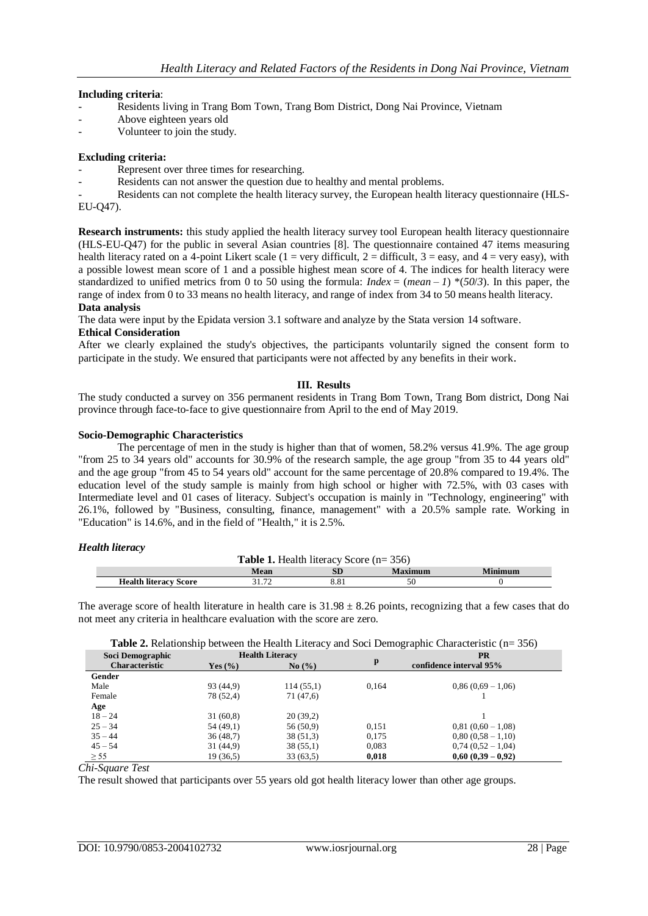#### **Including criteria**:

- Residents living in Trang Bom Town, Trang Bom District, Dong Nai Province, Vietnam
- Above eighteen years old
- Volunteer to join the study.

### **Excluding criteria:**

- Represent over three times for researching.
- Residents can not answer the question due to healthy and mental problems.

Residents can not complete the health literacy survey, the European health literacy questionnaire (HLS-EU-Q47).

**Research instruments:** this study applied the health literacy survey tool European health literacy questionnaire (HLS-EU-Q47) for the public in several Asian countries [8]. The questionnaire contained 47 items measuring health literacy rated on a 4-point Likert scale (1 = very difficult, 2 = difficult, 3 = easy, and 4 = very easy), with a possible lowest mean score of 1 and a possible highest mean score of 4. The indices for health literacy were standardized to unified metrics from 0 to 50 using the formula:  $Index = (mean - 1) * (50/3)$ . In this paper, the range of index from 0 to 33 means no health literacy, and range of index from 34 to 50 means health literacy. **Data analysis**

The data were input by the Epidata version 3.1 software and analyze by the Stata version 14 software.

# **Ethical Consideration**

After we clearly explained the study's objectives, the participants voluntarily signed the consent form to participate in the study. We ensured that participants were not affected by any benefits in their work.

### **III. Results**

The study conducted a survey on 356 permanent residents in Trang Bom Town, Trang Bom district, Dong Nai province through face-to-face to give questionnaire from April to the end of May 2019.

#### **Socio-Demographic Characteristics**

The percentage of men in the study is higher than that of women, 58.2% versus 41.9%. The age group "from 25 to 34 years old" accounts for 30.9% of the research sample, the age group "from 35 to 44 years old" and the age group "from 45 to 54 years old" account for the same percentage of 20.8% compared to 19.4%. The education level of the study sample is mainly from high school or higher with 72.5%, with 03 cases with Intermediate level and 01 cases of literacy. Subject's occupation is mainly in "Technology, engineering" with 26.1%, followed by "Business, consulting, finance, management" with a 20.5% sample rate. Working in "Education" is 14.6%, and in the field of "Health," it is 2.5%.

#### *Health literacy*

|                              |      | <b>Table 1.</b> Health literacy Score $(n=356)$ |         |         |
|------------------------------|------|-------------------------------------------------|---------|---------|
|                              | Mean |                                                 | Maximum | Minimum |
| <b>Health literacy Score</b> |      |                                                 |         |         |

The average score of health literature in health care is  $31.98 \pm 8.26$  points, recognizing that a few cases that do not meet any criteria in healthcare evaluation with the score are zero.

**Table 2.** Relationship between the Health Literacy and Soci Demographic Characteristic (n= 356)

| Soci Demographic      |             | <b>Health Literacy</b> |       | <b>PR</b>               |
|-----------------------|-------------|------------------------|-------|-------------------------|
| <b>Characteristic</b> | Yes $(\% )$ | $\mathrm{No}(\% )$     | p     | confidence interval 95% |
| Gender                |             |                        |       |                         |
| Male                  | 93 (44,9)   | 114(55,1)              | 0.164 | $0,86(0,69-1,06)$       |
| Female                | 78 (52,4)   | 71 (47,6)              |       |                         |
| Age                   |             |                        |       |                         |
| $18 - 24$             | 31(60,8)    | 20(39,2)               |       |                         |
| $25 - 34$             | 54 (49,1)   | 56 (50.9)              | 0,151 | $0,81(0,60-1,08)$       |
| $35 - 44$             | 36(48,7)    | 38 (51,3)              | 0,175 | $0,80(0,58-1,10)$       |
| $45 - 54$             | 31 (44,9)   | 38(55,1)               | 0,083 | $0,74(0,52-1,04)$       |
| $\geq$ 55             | 19 (36.5)   | 33(63,5)               | 0,018 | $0,60(0,39-0,92)$       |

*Chi-Square Test*

The result showed that participants over 55 years old got health literacy lower than other age groups.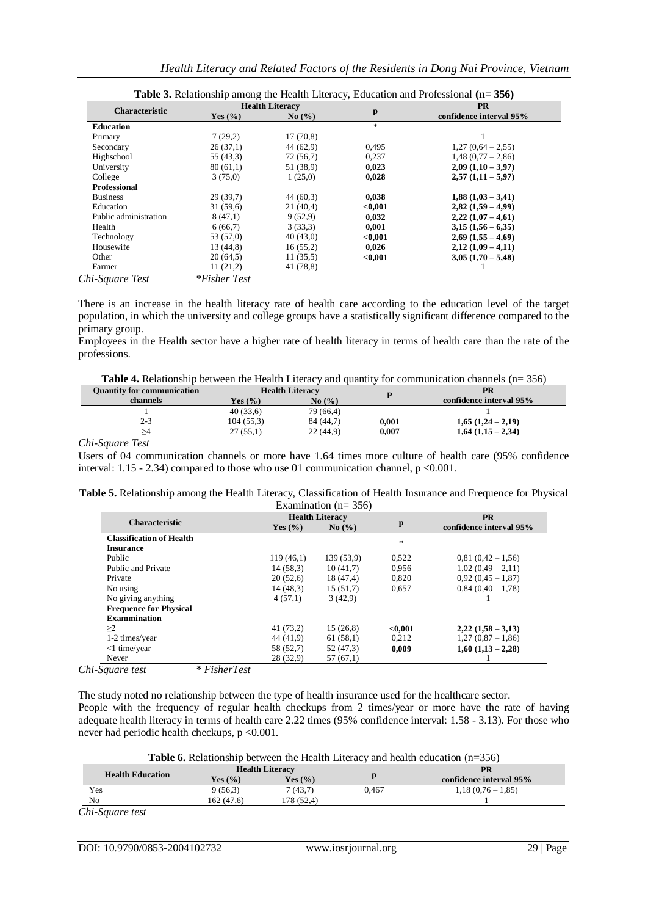|                       |                     | <b>Health Literacy</b> |               | <b>PR</b>               |  |
|-----------------------|---------------------|------------------------|---------------|-------------------------|--|
| <b>Characteristic</b> | Yes $(\% )$         | $\mathrm{No}(\% )$     | p             | confidence interval 95% |  |
| <b>Education</b>      |                     |                        | $\frac{1}{2}$ |                         |  |
| Primary               | 7(29,2)             | 17(70,8)               |               |                         |  |
| Secondary             | 26(37,1)            | 44 (62.9)              | 0,495         | $1,27(0,64-2,55)$       |  |
| Highschool            | 55 (43,3)           | 72 (56,7)              | 0,237         | $1,48(0,77-2,86)$       |  |
| University            | 80(61,1)            | 51 (38.9)              | 0,023         | $2,09(1,10-3,97)$       |  |
| College               | 3(75,0)             | 1(25,0)                | 0,028         | $2,57(1,11-5,97)$       |  |
| <b>Professional</b>   |                     |                        |               |                         |  |
| <b>Business</b>       | 29(39,7)            | 44 (60,3)              | 0,038         | $1,88(1,03-3,41)$       |  |
| Education             | 31(59,6)            | 21 (40.4)              | < 0.001       | $2.82(1.59 - 4.99)$     |  |
| Public administration | 8(47,1)             | 9(52,9)                | 0,032         | $2,22$ $(1,07 - 4,61)$  |  |
| Health                | 6(66,7)             | 3(33,3)                | 0,001         | $3,15(1,56-6,35)$       |  |
| Technology            | 53 (57,0)           | 40(43,0)               | < 0.001       | $2,69$ $(1,55 - 4,69)$  |  |
| Housewife             | 13 (44,8)           | 16(55,2)               | 0,026         | $2,12(1,09-4,11)$       |  |
| Other                 | 20(64,5)            | 11(35,5)               | < 0.001       | $3,05(1,70-5,48)$       |  |
| Farmer                | 11(21,2)            | 41 (78,8)              |               |                         |  |
| Chi-Sauare Test       | <i>*Fisher Test</i> |                        |               |                         |  |

There is an increase in the health literacy rate of health care according to the education level of the target population, in which the university and college groups have a statistically significant difference compared to the primary group.

Employees in the Health sector have a higher rate of health literacy in terms of health care than the rate of the professions.

| <b>Quantity for communication</b> |                       | <b>Health Literacy</b>        |       | PR                      |
|-----------------------------------|-----------------------|-------------------------------|-------|-------------------------|
| channels                          | Yes $\left(\%\right)$ | No $\left(\frac{9}{6}\right)$ |       | confidence interval 95% |
|                                   | 40(33,6)              | 79 (66.4)                     |       |                         |
| 2-3                               | 104(55,3)             | 84 (44.7)                     | 0.001 | $1,65$ $(1,24 - 2,19)$  |
|                                   | 27(55,1)              | 22(44.9)                      | 0.007 | $1,64(1,15-2,34)$       |
| .<br>-                            |                       |                               |       |                         |

#### *Chi-Square Test*

Users of 04 communication channels or more have 1.64 times more culture of health care (95% confidence interval: 1.15 - 2.34) compared to those who use 01 communication channel, p <0.001.

| Table 5. Relationship among the Health Literacy, Classification of Health Insurance and Frequence for Physical |  |
|----------------------------------------------------------------------------------------------------------------|--|
| Examination ( $n = 356$ )                                                                                      |  |

|                                 |             | <b>Health Literacy</b>                   |               | <b>PR</b>               |  |
|---------------------------------|-------------|------------------------------------------|---------------|-------------------------|--|
| <b>Characteristic</b>           | Yes $(\% )$ | $\mathrm{No}$ $\left(\frac{9}{6}\right)$ | $\mathbf{p}$  | confidence interval 95% |  |
| <b>Classification of Health</b> |             |                                          | $\frac{1}{2}$ |                         |  |
| <b>Insurance</b>                |             |                                          |               |                         |  |
| Public                          | 119(46,1)   | 139 (53.9)                               | 0,522         | $0,81(0,42-1,56)$       |  |
| Public and Private              | 14(58,3)    | 10(41,7)                                 | 0.956         | $1,02(0,49-2,11)$       |  |
| Private                         | 20(52,6)    | 18 (47,4)                                | 0,820         | $0.92(0.45-1.87)$       |  |
| No using                        | 14(48,3)    | 15(51,7)                                 | 0,657         | $0,84(0,40-1,78)$       |  |
| No giving anything              | 4(57,1)     | 3(42.9)                                  |               |                         |  |
| <b>Frequence for Physical</b>   |             |                                          |               |                         |  |
| <b>Exammination</b>             |             |                                          |               |                         |  |
| $\geq$ 2                        | 41(73,2)    | 15(26,8)                                 | < 0.001       | $2,22(1,58-3,13)$       |  |
| 1-2 times/year                  | 44 (41.9)   | 61(58,1)                                 | 0,212         | $1,27(0,87-1,86)$       |  |
| $<$ 1 time/year                 | 58 (52,7)   | 52 (47.3)                                | 0.009         | $1,60$ $(1,13 - 2,28)$  |  |
| Never                           | 28(32,9)    | 57(67,1)                                 |               |                         |  |

*Chi-Square test \* FisherTest*

The study noted no relationship between the type of health insurance used for the healthcare sector. People with the frequency of regular health checkups from 2 times/year or more have the rate of having adequate health literacy in terms of health care 2.22 times (95% confidence interval: 1.58 - 3.13). For those who never had periodic health checkups,  $p < 0.001$ .

|  | Table 6. Relationship between the Health Literacy and health education $(n=356)$ |  |  |
|--|----------------------------------------------------------------------------------|--|--|
|--|----------------------------------------------------------------------------------|--|--|

|                         |             | <b>Health Literacy</b> |       | <b>PR</b>               |  |
|-------------------------|-------------|------------------------|-------|-------------------------|--|
| <b>Health Education</b> | Yes $(\% )$ | Yes $(\% )$            |       | confidence interval 95% |  |
| Yes                     | 9(56,3)     | 7(43,7)                | 0.467 | $1,18(0,76-1,85)$       |  |
| No                      | 162 (47.6)  | 178(52.4)              |       |                         |  |

*Chi-Square test*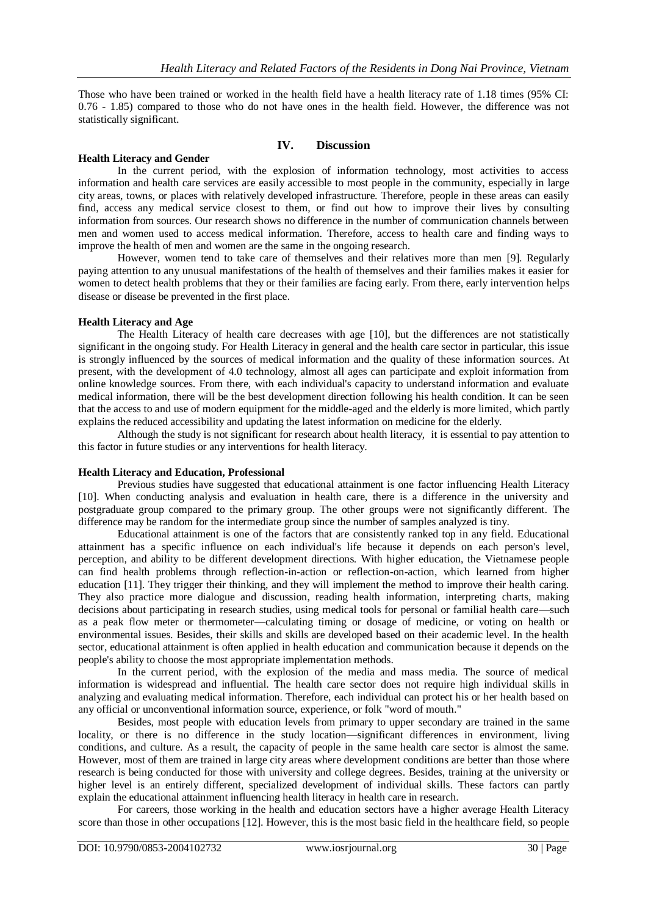Those who have been trained or worked in the health field have a health literacy rate of 1.18 times (95% CI: 0.76 - 1.85) compared to those who do not have ones in the health field. However, the difference was not statistically significant.

### **IV. Discussion**

#### **Health Literacy and Gender**

In the current period, with the explosion of information technology, most activities to access information and health care services are easily accessible to most people in the community, especially in large city areas, towns, or places with relatively developed infrastructure. Therefore, people in these areas can easily find, access any medical service closest to them, or find out how to improve their lives by consulting information from sources. Our research shows no difference in the number of communication channels between men and women used to access medical information. Therefore, access to health care and finding ways to improve the health of men and women are the same in the ongoing research.

However, women tend to take care of themselves and their relatives more than men [9]. Regularly paying attention to any unusual manifestations of the health of themselves and their families makes it easier for women to detect health problems that they or their families are facing early. From there, early intervention helps disease or disease be prevented in the first place.

### **Health Literacy and Age**

The Health Literacy of health care decreases with age [10], but the differences are not statistically significant in the ongoing study. For Health Literacy in general and the health care sector in particular, this issue is strongly influenced by the sources of medical information and the quality of these information sources. At present, with the development of 4.0 technology, almost all ages can participate and exploit information from online knowledge sources. From there, with each individual's capacity to understand information and evaluate medical information, there will be the best development direction following his health condition. It can be seen that the access to and use of modern equipment for the middle-aged and the elderly is more limited, which partly explains the reduced accessibility and updating the latest information on medicine for the elderly.

Although the study is not significant for research about health literacy, it is essential to pay attention to this factor in future studies or any interventions for health literacy.

#### **Health Literacy and Education, Professional**

Previous studies have suggested that educational attainment is one factor influencing Health Literacy [10]. When conducting analysis and evaluation in health care, there is a difference in the university and postgraduate group compared to the primary group. The other groups were not significantly different. The difference may be random for the intermediate group since the number of samples analyzed is tiny.

Educational attainment is one of the factors that are consistently ranked top in any field. Educational attainment has a specific influence on each individual's life because it depends on each person's level, perception, and ability to be different development directions. With higher education, the Vietnamese people can find health problems through reflection-in-action or reflection-on-action, which learned from higher education [11]. They trigger their thinking, and they will implement the method to improve their health caring. They also practice more dialogue and discussion, reading health information, interpreting charts, making decisions about participating in research studies, using medical tools for personal or familial health care—such as a peak flow meter or thermometer—calculating timing or dosage of medicine, or voting on health or environmental issues. Besides, their skills and skills are developed based on their academic level. In the health sector, educational attainment is often applied in health education and communication because it depends on the people's ability to choose the most appropriate implementation methods.

In the current period, with the explosion of the media and mass media. The source of medical information is widespread and influential. The health care sector does not require high individual skills in analyzing and evaluating medical information. Therefore, each individual can protect his or her health based on any official or unconventional information source, experience, or folk "word of mouth."

Besides, most people with education levels from primary to upper secondary are trained in the same locality, or there is no difference in the study location—significant differences in environment, living conditions, and culture. As a result, the capacity of people in the same health care sector is almost the same. However, most of them are trained in large city areas where development conditions are better than those where research is being conducted for those with university and college degrees. Besides, training at the university or higher level is an entirely different, specialized development of individual skills. These factors can partly explain the educational attainment influencing health literacy in health care in research.

For careers, those working in the health and education sectors have a higher average Health Literacy score than those in other occupations [12]. However, this is the most basic field in the healthcare field, so people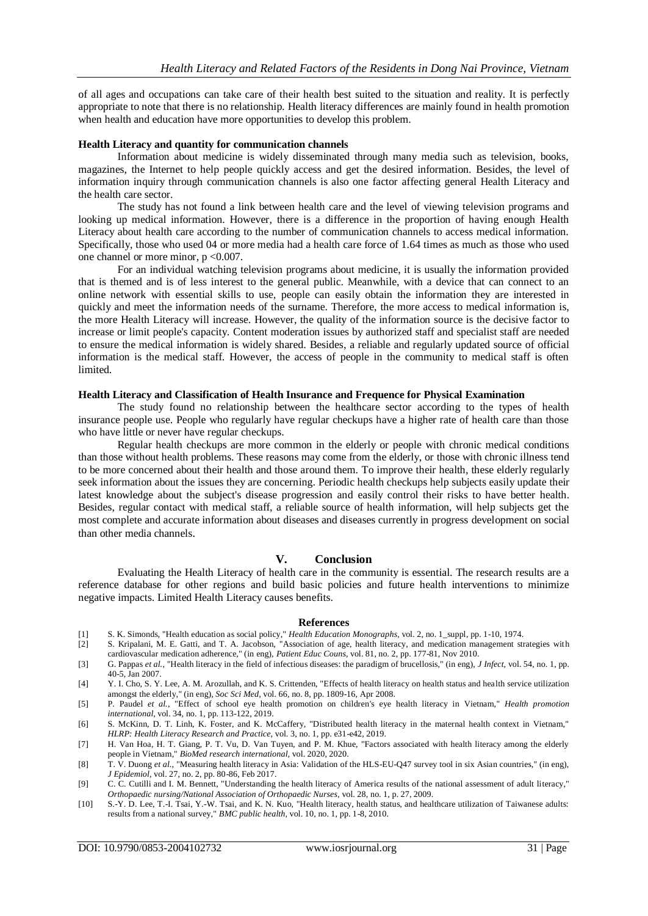of all ages and occupations can take care of their health best suited to the situation and reality. It is perfectly appropriate to note that there is no relationship. Health literacy differences are mainly found in health promotion when health and education have more opportunities to develop this problem.

### **Health Literacy and quantity for communication channels**

Information about medicine is widely disseminated through many media such as television, books, magazines, the Internet to help people quickly access and get the desired information. Besides, the level of information inquiry through communication channels is also one factor affecting general Health Literacy and the health care sector.

The study has not found a link between health care and the level of viewing television programs and looking up medical information. However, there is a difference in the proportion of having enough Health Literacy about health care according to the number of communication channels to access medical information. Specifically, those who used 04 or more media had a health care force of 1.64 times as much as those who used one channel or more minor, p <0.007.

For an individual watching television programs about medicine, it is usually the information provided that is themed and is of less interest to the general public. Meanwhile, with a device that can connect to an online network with essential skills to use, people can easily obtain the information they are interested in quickly and meet the information needs of the surname. Therefore, the more access to medical information is, the more Health Literacy will increase. However, the quality of the information source is the decisive factor to increase or limit people's capacity. Content moderation issues by authorized staff and specialist staff are needed to ensure the medical information is widely shared. Besides, a reliable and regularly updated source of official information is the medical staff. However, the access of people in the community to medical staff is often limited.

#### **Health Literacy and Classification of Health Insurance and Frequence for Physical Examination**

The study found no relationship between the healthcare sector according to the types of health insurance people use. People who regularly have regular checkups have a higher rate of health care than those who have little or never have regular checkups.

Regular health checkups are more common in the elderly or people with chronic medical conditions than those without health problems. These reasons may come from the elderly, or those with chronic illness tend to be more concerned about their health and those around them. To improve their health, these elderly regularly seek information about the issues they are concerning. Periodic health checkups help subjects easily update their latest knowledge about the subject's disease progression and easily control their risks to have better health. Besides, regular contact with medical staff, a reliable source of health information, will help subjects get the most complete and accurate information about diseases and diseases currently in progress development on social than other media channels.

#### **V. Conclusion**

Evaluating the Health Literacy of health care in the community is essential. The research results are a reference database for other regions and build basic policies and future health interventions to minimize negative impacts. Limited Health Literacy causes benefits.

#### **References**

- [1] S. K. Simonds, "Health education as social policy," *Health Education Monographs,* vol. 2, no. 1\_suppl, pp. 1-10, 1974.
- [2] S. Kripalani, M. E. Gatti, and T. A. Jacobson, "Association of age, health literacy, and medication management strategies with cardiovascular medication adherence," (in eng), *Patient Educ Couns,* vol. 81, no. 2, pp. 177-81, Nov 2010.
- [3] G. Pappas *et al.*, "Health literacy in the field of infectious diseases: the paradigm of brucellosis," (in eng), *J Infect,* vol. 54, no. 1, pp. 40-5, Jan 2007.
- [4] Y. I. Cho, S. Y. Lee, A. M. Arozullah, and K. S. Crittenden, "Effects of health literacy on health status and health service utilization amongst the elderly," (in eng), *Soc Sci Med,* vol. 66, no. 8, pp. 1809-16, Apr 2008.
- [5] P. Paudel *et al.*, "Effect of school eye health promotion on children's eye health literacy in Vietnam," *Health promotion international,* vol. 34, no. 1, pp. 113-122, 2019.
- [6] S. McKinn, D. T. Linh, K. Foster, and K. McCaffery, "Distributed health literacy in the maternal health context in Vietnam," *HLRP: Health Literacy Research and Practice,* vol. 3, no. 1, pp. e31-e42, 2019.
- [7] H. Van Hoa, H. T. Giang, P. T. Vu, D. Van Tuyen, and P. M. Khue, "Factors associated with health literacy among the elderly people in Vietnam," *BioMed research international,* vol. 2020, 2020.
- [8] T. V. Duong *et al.*, "Measuring health literacy in Asia: Validation of the HLS-EU-Q47 survey tool in six Asian countries," (in eng), *J Epidemiol,* vol. 27, no. 2, pp. 80-86, Feb 2017.
- [9] C. C. Cutilli and I. M. Bennett, "Understanding the health literacy of America results of the national assessment of adult literacy," *Orthopaedic nursing/National Association of Orthopaedic Nurses,* vol. 28, no. 1, p. 27, 2009.
- [10] S.-Y. D. Lee, T.-I. Tsai, Y.-W. Tsai, and K. N. Kuo, "Health literacy, health status, and healthcare utilization of Taiwanese adults: results from a national survey," *BMC public health,* vol. 10, no. 1, pp. 1-8, 2010.